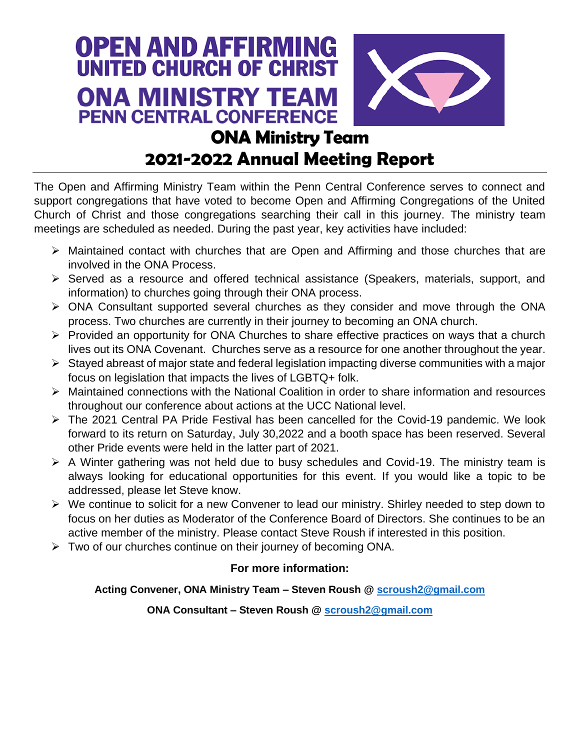

# **2021-2022 Annual Meeting Report**

The Open and Affirming Ministry Team within the Penn Central Conference serves to connect and support congregations that have voted to become Open and Affirming Congregations of the United Church of Christ and those congregations searching their call in this journey. The ministry team meetings are scheduled as needed. During the past year, key activities have included:

- ➢ Maintained contact with churches that are Open and Affirming and those churches that are involved in the ONA Process.
- ➢ Served as a resource and offered technical assistance (Speakers, materials, support, and information) to churches going through their ONA process.
- ➢ ONA Consultant supported several churches as they consider and move through the ONA process. Two churches are currently in their journey to becoming an ONA church.
- ➢ Provided an opportunity for ONA Churches to share effective practices on ways that a church lives out its ONA Covenant. Churches serve as a resource for one another throughout the year.
- ➢ Stayed abreast of major state and federal legislation impacting diverse communities with a major focus on legislation that impacts the lives of LGBTQ+ folk.
- ➢ Maintained connections with the National Coalition in order to share information and resources throughout our conference about actions at the UCC National level.
- ➢ The 2021 Central PA Pride Festival has been cancelled for the Covid-19 pandemic. We look forward to its return on Saturday, July 30,2022 and a booth space has been reserved. Several other Pride events were held in the latter part of 2021.
- ➢ A Winter gathering was not held due to busy schedules and Covid-19. The ministry team is always looking for educational opportunities for this event. If you would like a topic to be addressed, please let Steve know.
- ➢ We continue to solicit for a new Convener to lead our ministry. Shirley needed to step down to focus on her duties as Moderator of the Conference Board of Directors. She continues to be an active member of the ministry. Please contact Steve Roush if interested in this position.
- ➢ Two of our churches continue on their journey of becoming ONA.

## **For more information:**

## **Acting Convener, ONA Ministry Team – Steven Roush @ [scroush2@gmail.com](mailto:scroush2@gmail.com)**

#### **ONA Consultant – Steven Roush @ [scroush2@gmail.com](mailto:scroush2@gmail.com)**